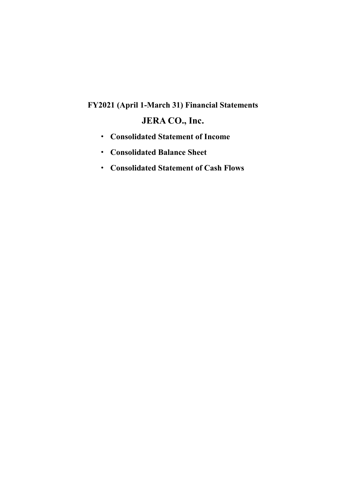## **FY2021 (April 1-March 31) Financial Statements JERA CO., Inc.**

- · **Consolidated Statement of Income**
- · **Consolidated Balance Sheet**
- · **Consolidated Statement of Cash Flows**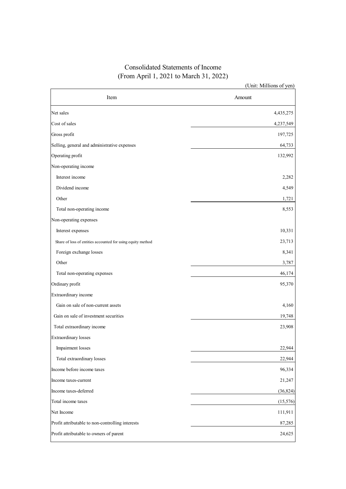## Consolidated Statements of Income (From April 1, 2021 to March 31, 2022)

|                                                             | (Unit: Millions of yen) |
|-------------------------------------------------------------|-------------------------|
| Item                                                        | Amount                  |
| Net sales                                                   | 4,435,275               |
| Cost of sales                                               | 4,237,549               |
| Gross profit                                                | 197,725                 |
| Selling, general and administrative expenses                | 64,733                  |
| Operating profit                                            | 132,992                 |
| Non-operating income                                        |                         |
| Interest income                                             | 2,282                   |
| Dividend income                                             | 4,549                   |
| Other                                                       | 1,721                   |
| Total non-operating income                                  | 8,553                   |
| Non-operating expenses                                      |                         |
| Interest expenses                                           | 10,331                  |
| Share of loss of entities accounted for using equity method | 23,713                  |
| Foreign exchange losses                                     | 8,341                   |
| Other                                                       | 3,787                   |
| Total non-operating expenses                                | 46,174                  |
| Ordinary profit                                             | 95,370                  |
| Extraordinary income                                        |                         |
| Gain on sale of non-current assets                          | 4,160                   |
| Gain on sale of investment securities                       | 19,748                  |
| Total extraordinary income                                  | 23,908                  |
| <b>Extraordinary losses</b>                                 |                         |
| Impairment losses                                           | 22,944                  |
| Total extraordinary losses                                  | 22,944                  |
| Income before income taxes                                  | 96,334                  |
| Income taxes-current                                        | 21,247                  |
| Income taxes-deferred                                       | (36, 824)               |
| Total income taxes                                          | (15, 576)               |
| Net Income                                                  | 111,911                 |
| Profit attributable to non-controlling interests            | 87,285                  |
| Profit attributable to owners of parent                     | 24,625                  |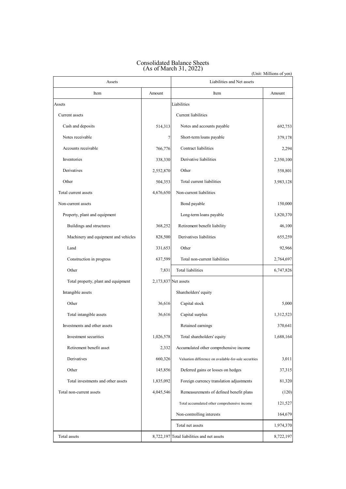| Assets                               |           | (Unit: Millions of yen)<br>Liabilities and Net assets |           |  |
|--------------------------------------|-----------|-------------------------------------------------------|-----------|--|
| Item                                 | Amount    | Item                                                  | Amount    |  |
| Assets                               |           | Liabilities                                           |           |  |
| Current assets                       |           | <b>Current liabilities</b>                            |           |  |
| Cash and deposits                    | 514,313   | Notes and accounts payable                            | 692,753   |  |
| Notes receivable                     | 7         | Short-term loans payable                              | 379,178   |  |
| Accounts receivable                  | 766,776   | Contract liabilities                                  | 2,294     |  |
| Inventories                          | 338,330   | Derivative liabilities                                | 2,350,100 |  |
| Derivatives                          | 2,552,870 | Other                                                 | 558,801   |  |
| Other                                | 504,353   | Total current liabilities                             | 3,983,128 |  |
| Total current assets                 | 4,676,650 | Non-current liabilities                               |           |  |
| Non-current assets                   |           | Bond payable                                          | 150,000   |  |
| Property, plant and equipment        |           | Long-term loans payable                               | 1,820,370 |  |
| Buildings and structures             | 368,252   | Retirement benefit liability                          | 46,100    |  |
| Machinery and equipment and vehicles | 828,500   | Derivatives liabilities                               | 655,259   |  |
| Land                                 | 331,653   | Other                                                 | 92,966    |  |
| Construction in progress             | 637,599   | Total non-current liabilities                         | 2,764,697 |  |
| Other                                | 7,831     | Total liabilities                                     | 6,747,826 |  |
| Total property, plant and equipment  |           | 2,173,837 Net assets                                  |           |  |
| Intangible assets                    |           | Shareholders' equity                                  |           |  |
| Other                                | 36,616    | Capital stock                                         | 5,000     |  |
| Total intangible assets              | 36,616    | Capital surplus                                       | 1,312,523 |  |
| Investments and other assets         |           | Retained earnings                                     | 370,641   |  |
| Investment securities                | 1,026,578 | Total shareholders' equity                            | 1,688,164 |  |
| Retirement benefit asset             | 2,332     | Accumulated other comprehensive income                |           |  |
| Derivatives                          | 660,326   | Valuation difference on available-for-sale securities | 3,011     |  |
| Other                                | 145,856   | Deferred gains or losses on hedges                    | 37,315    |  |
| Total investments and other assets   | 1,835,092 | Foreign currency translation adjustments              | 81,320    |  |
| Total non-current assets             | 4,045,546 | Remeasurements of defined benefit plans               | (120)     |  |
|                                      |           | Total accumulated other comprehensive income          | 121,527   |  |
|                                      |           | Non-controlling interests                             | 164,679   |  |
|                                      |           | Total net assets                                      | 1,974,370 |  |
| Total assets                         |           | 8,722,197 Total liabilities and net assets            | 8,722,197 |  |

## Consolidated Balance Sheets (As of March 31, 2022)

(Unit: Millions of yen)